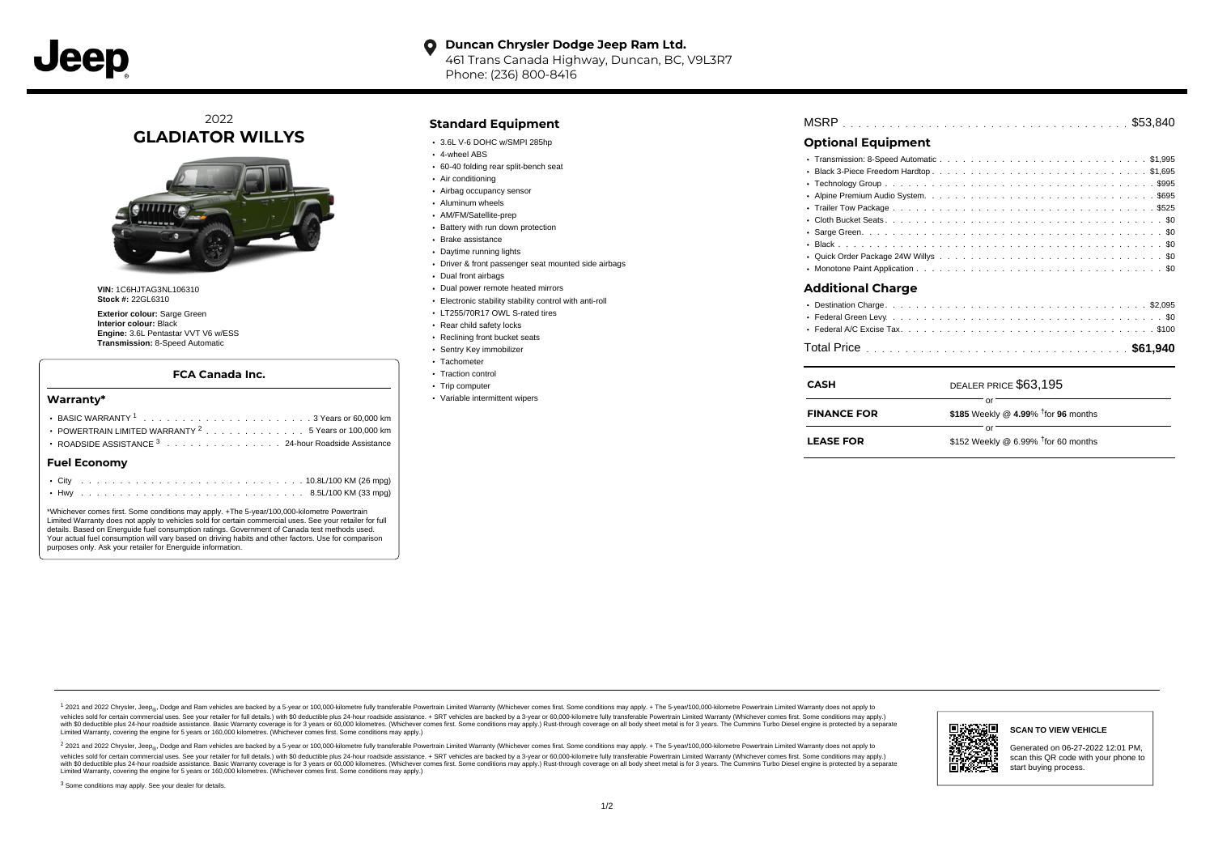#### **Duncan Chrysler Dodge Jeep Ram Ltd.**  $\bullet$

461 Trans Canada Highway, Duncan, BC, V9L3R7 Phone: (236) 800-8416

# 2022 **GLADIATOR WILLYS**



**VIN:** 1C6HJTAG3NL106310 **Stock #:** 22GL6310

**Exterior colour:** Sarge Green **Interior colour:** Black **Engine:** 3.6L Pentastar VVT V6 w/ESS **Transmission:** 8-Speed Automatic

### **FCA Canada Inc.**

### **Warranty\***

| POWERTRAIN LIMITED WARRANTY $^2$ , , , , , , , , , , , , , , 5 Years or 100,000 km<br>ROADSIDE ASSISTANCE 3 24-hour Roadside Assistance |  |  |  |  |  |  |  |  |  |  |  |  |  |  |  |  |  |  |  |  |  |  |
|-----------------------------------------------------------------------------------------------------------------------------------------|--|--|--|--|--|--|--|--|--|--|--|--|--|--|--|--|--|--|--|--|--|--|
| <b>Fuel Economy</b>                                                                                                                     |  |  |  |  |  |  |  |  |  |  |  |  |  |  |  |  |  |  |  |  |  |  |
|                                                                                                                                         |  |  |  |  |  |  |  |  |  |  |  |  |  |  |  |  |  |  |  |  |  |  |
|                                                                                                                                         |  |  |  |  |  |  |  |  |  |  |  |  |  |  |  |  |  |  |  |  |  |  |

\*Whichever comes first. Some conditions may apply. +The 5-year/100,000-kilometre Powertrain Limited Warranty does not apply to vehicles sold for certain commercial uses. See your retailer for full details. Based on Energuide fuel consumption ratings. Government of Canada test methods used. Your actual fuel consumption will vary based on driving habits and other factors. Use for comparison purposes only. Ask your retailer for Energuide information.

## **Standard Equipment**

- 3.6L V-6 DOHC w/SMPI 285hp
- 4-wheel ABS
- 60-40 folding rear split-bench seat
- Air conditioning
- Airbag occupancy sensor
- Aluminum wheels
- AM/FM/Satellite-prep
- **Battery with run down protection**
- Brake assistance
- Daytime running lights
- Driver & front passenger seat mounted side airbags
- Dual front airbags
- Dual power remote heated mirrors
- Electronic stability stability control with anti-roll
- LT255/70R17 OWL S-rated tires
- Rear child safety locks
- Reclining front bucket seats
- Sentry Key immobilizer
- Tachometer • Traction control
- 
- Trip computer
- Variable intermittent wipers

| <b>Optional Equipment</b> |                                        |  |
|---------------------------|----------------------------------------|--|
|                           |                                        |  |
|                           | • Black 3-Piece Freedom Hardtop\$1,695 |  |
|                           |                                        |  |
|                           |                                        |  |
|                           |                                        |  |
|                           |                                        |  |
|                           |                                        |  |
|                           |                                        |  |
|                           |                                        |  |
|                           |                                        |  |
| <b>Additional Charge</b>  |                                        |  |
|                           |                                        |  |
|                           |                                        |  |
|                           |                                        |  |
|                           |                                        |  |
| <b>CASH</b>               | DEALER PRICE \$63.195                  |  |

| <b>FINANCE FOR</b> | \$185 Weekly @ 4.99% $\frac{1}{1}$ for 96 months |  |
|--------------------|--------------------------------------------------|--|
|                    |                                                  |  |
| <b>LEASE FOR</b>   | \$152 Weekly @ 6.99% $†$ for 60 months           |  |

1 2021 and 2022 Chrysler, Jeep<sub>en</sub> Dodge and Ram vehicles are backed by a 5-year or 100,000-kilometre fully transferable Powertrain Limited Warranty (Whichever comes first. Some conditions may apply. + The 5-year/100,000-k vehicles sold for certain commercial uses. See your retailer for full details.) with \$0 deductible plus 24 hour roadside assistance. + SRT vehicles are backed by a 3-year or 60,000-kilometre fully transferable Powertrain L versus and contract the mean of the contract of the contract with a contract with a contract the contract of the search of the contract and a control of the contract and contract and control of the search of the search of Limited Warranty, covering the engine for 5 years or 160,000 kilometres. (Whichever comes first. Some conditions may apply.)

<sup>2</sup> 2021 and 2022 Chrysler, Jeep<sub>®</sub>, Dodge and Ram vehicles are backed by a 5-year or 100,000-kilometre fully transferable Powertrain Limited Warranty (Whichever comes first. Some conditions may apply. + The 5-year/100,000 vehicles sold for certain commercial uses. See your retailer for full details.) with SO deductible plus 24-hour roadside assistance. + SRT vehicles are backed by a 3-year or 60.000-kilometre fully transferable Powertrain L with S0 deductible plus 24-hour roadside assistance. Basic Warranty coverage is for 3 years or 60,000 kilometres. (Whichever comes first. Some conditions may apply.) Rust-through coverage on all body sheet metal is for 3 y **SCAN TO VIEW VEHICLE** Generated on 06-27-2022 12:01 PM, scan this QR code with your phone to start buying process.

#### <sup>3</sup> Some conditions may apply. See your dealer for details.